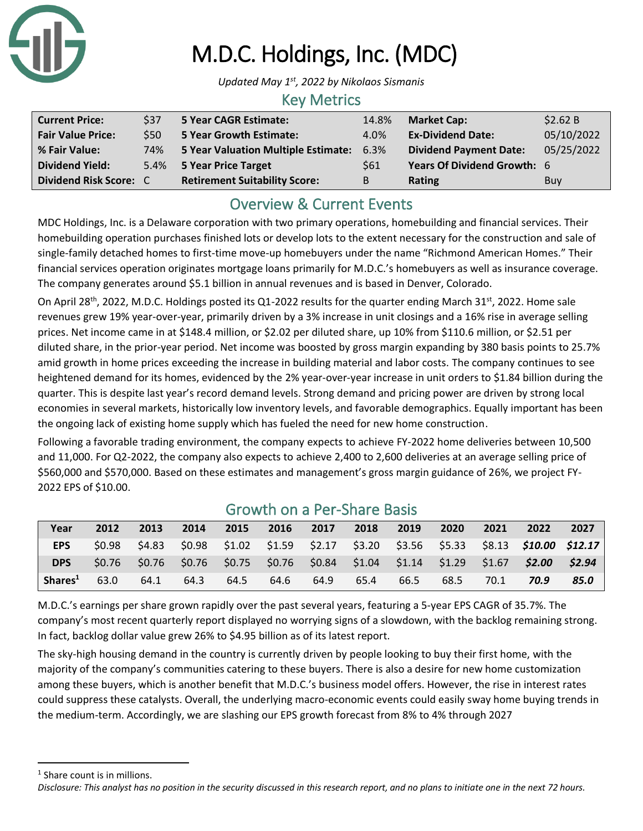

# M.D.C. Holdings, Inc. (MDC)

*Updated May 1st, 2022 by Nikolaos Sismanis*

### Key Metrics

| <b>Current Price:</b>    | \$37 | <b>5 Year CAGR Estimate:</b>         | 14.8% | <b>Market Cap:</b>            | \$2.62 B   |
|--------------------------|------|--------------------------------------|-------|-------------------------------|------------|
| <b>Fair Value Price:</b> | \$50 | <b>5 Year Growth Estimate:</b>       | 4.0%  | <b>Ex-Dividend Date:</b>      | 05/10/2022 |
| % Fair Value:            | 74%  | 5 Year Valuation Multiple Estimate:  | 6.3%  | <b>Dividend Payment Date:</b> | 05/25/2022 |
| <b>Dividend Yield:</b>   |      | 5.4% 5 Year Price Target             | \$61  | Years Of Dividend Growth: 6   |            |
| Dividend Risk Score: C   |      | <b>Retirement Suitability Score:</b> | B     | <b>Rating</b>                 | Buy        |

# Overview & Current Events

MDC Holdings, Inc. is a Delaware corporation with two primary operations, homebuilding and financial services. Their homebuilding operation purchases finished lots or develop lots to the extent necessary for the construction and sale of single-family detached homes to first-time move-up homebuyers under the name "Richmond American Homes." Their financial services operation originates mortgage loans primarily for M.D.C.'s homebuyers as well as insurance coverage. The company generates around \$5.1 billion in annual revenues and is based in Denver, Colorado.

On April 28<sup>th</sup>, 2022, M.D.C. Holdings posted its Q1-2022 results for the quarter ending March 31<sup>st</sup>, 2022. Home sale revenues grew 19% year-over-year, primarily driven by a 3% increase in unit closings and a 16% rise in average selling prices. Net income came in at \$148.4 million, or \$2.02 per diluted share, up 10% from \$110.6 million, or \$2.51 per diluted share, in the prior-year period. Net income was boosted by gross margin expanding by 380 basis points to 25.7% amid growth in home prices exceeding the increase in building material and labor costs. The company continues to see heightened demand for its homes, evidenced by the 2% year-over-year increase in unit orders to \$1.84 billion during the quarter. This is despite last year's record demand levels. Strong demand and pricing power are driven by strong local economies in several markets, historically low inventory levels, and favorable demographics. Equally important has been the ongoing lack of existing home supply which has fueled the need for new home construction.

Following a favorable trading environment, the company expects to achieve FY-2022 home deliveries between 10,500 and 11,000. For Q2-2022, the company also expects to achieve 2,400 to 2,600 deliveries at an average selling price of \$560,000 and \$570,000. Based on these estimates and management's gross margin guidance of 26%, we project FY-2022 EPS of \$10.00.

| Year                | 2012   | 2013   | 2014 | 2015 | 2016 | 2017 | 2018 | 2019 | 2020 | 2021 | 2022                                                                                | 2027   |
|---------------------|--------|--------|------|------|------|------|------|------|------|------|-------------------------------------------------------------------------------------|--------|
| <b>EPS</b>          | \$0.98 | \$4.83 |      |      |      |      |      |      |      |      | \$0.98 \$1.02 \$1.59 \$2.17 \$3.20 \$3.56 \$5.33 \$8.13 <b>\$10.00 \$12.17</b>      |        |
| <b>DPS</b>          |        |        |      |      |      |      |      |      |      |      | \$0.76 \$0.76 \$0.76 \$0.75 \$0.76 \$0.84 \$1.04 \$1.14 \$1.29 \$1.67 <b>\$2.00</b> | \$2.94 |
| Shares <sup>1</sup> | 63.0   | 64.1   | 64.3 | 64.5 | 64.6 | 64.9 | 65.4 | 66.5 | 68.5 | 70.1 | 70.9                                                                                | 85.0   |

## Growth on a Per-Share Basis

M.D.C.'s earnings per share grown rapidly over the past several years, featuring a 5-year EPS CAGR of 35.7%. The company's most recent quarterly report displayed no worrying signs of a slowdown, with the backlog remaining strong. In fact, backlog dollar value grew 26% to \$4.95 billion as of its latest report.

The sky-high housing demand in the country is currently driven by people looking to buy their first home, with the majority of the company's communities catering to these buyers. There is also a desire for new home customization among these buyers, which is another benefit that M.D.C.'s business model offers. However, the rise in interest rates could suppress these catalysts. Overall, the underlying macro-economic events could easily sway home buying trends in the medium-term. Accordingly, we are slashing our EPS growth forecast from 8% to 4% through 2027

<sup>&</sup>lt;sup>1</sup> Share count is in millions.

*Disclosure: This analyst has no position in the security discussed in this research report, and no plans to initiate one in the next 72 hours.*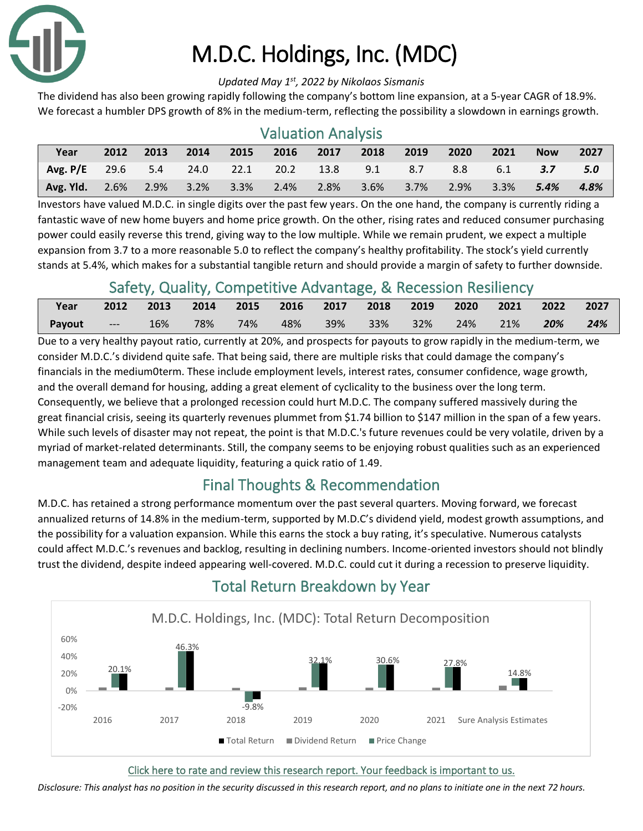

# M.D.C. Holdings, Inc. (MDC)

#### *Updated May 1st, 2022 by Nikolaos Sismanis*

The dividend has also been growing rapidly following the company's bottom line expansion, at a 5-year CAGR of 18.9%. We forecast a humbler DPS growth of 8% in the medium-term, reflecting the possibility a slowdown in earnings growth.

| <b>Valuation Analysis</b> |      |      |      |         |      |      |      |      |      |      |            |      |
|---------------------------|------|------|------|---------|------|------|------|------|------|------|------------|------|
| Year                      | 2012 | 2013 | 2014 | 2015    | 2016 | 2017 | 2018 | 2019 | 2020 | 2021 | <b>Now</b> | 2027 |
| Avg. $P/E$ 29.6 5.4       |      |      | 24.0 | 22.1    | 20.2 | 13.8 | 9.1  | 8.7  | 8.8  | 6.1  | 3.7        | 5.0  |
| Avg. Yld.                 | 2.6% | 2.9% | 3.2% | $3.3\%$ | 2.4% | 2.8% | 3.6% | 3.7% | 2.9% | 3.3% | 5.4%       | 4.8% |

Investors have valued M.D.C. in single digits over the past few years. On the one hand, the company is currently riding a fantastic wave of new home buyers and home price growth. On the other, rising rates and reduced consumer purchasing power could easily reverse this trend, giving way to the low multiple. While we remain prudent, we expect a multiple expansion from 3.7 to a more reasonable 5.0 to reflect the company's healthy profitability. The stock's yield currently stands at 5.4%, which makes for a substantial tangible return and should provide a margin of safety to further downside.

# Safety, Quality, Competitive Advantage, & Recession Resiliency

| Year          | 2012           | 2013 | 2014 |     |     | 2015 2016 2017 2018 2019 2020 |        |     | 2021 2022 |     | 2027 |
|---------------|----------------|------|------|-----|-----|-------------------------------|--------|-----|-----------|-----|------|
| <b>Payout</b> | <b>Command</b> | 16%  | 78%  | 74% | 48% | 39%  33%                      | $32\%$ | 24% | 21%       | 20% | 24%  |

Due to a very healthy payout ratio, currently at 20%, and prospects for payouts to grow rapidly in the medium-term, we consider M.D.C.'s dividend quite safe. That being said, there are multiple risks that could damage the company's financials in the medium0term. These include employment levels, interest rates, consumer confidence, wage growth, and the overall demand for housing, adding a great element of cyclicality to the business over the long term. Consequently, we believe that a prolonged recession could hurt M.D.C. The company suffered massively during the great financial crisis, seeing its quarterly revenues plummet from \$1.74 billion to \$147 million in the span of a few years. While such levels of disaster may not repeat, the point is that M.D.C.'s future revenues could be very volatile, driven by a myriad of market-related determinants. Still, the company seems to be enjoying robust qualities such as an experienced management team and adequate liquidity, featuring a quick ratio of 1.49.

## Final Thoughts & Recommendation

M.D.C. has retained a strong performance momentum over the past several quarters. Moving forward, we forecast annualized returns of 14.8% in the medium-term, supported by M.D.C's dividend yield, modest growth assumptions, and the possibility for a valuation expansion. While this earns the stock a buy rating, it's speculative. Numerous catalysts could affect M.D.C.'s revenues and backlog, resulting in declining numbers. Income-oriented investors should not blindly trust the dividend, despite indeed appearing well-covered. M.D.C. could cut it during a recession to preserve liquidity.



# Total Return Breakdown by Year

#### [Click here to rate and review this research report. Your feedback is important to us.](https://suredividend.typeform.com/to/qc67nT)

*Disclosure: This analyst has no position in the security discussed in this research report, and no plans to initiate one in the next 72 hours.*